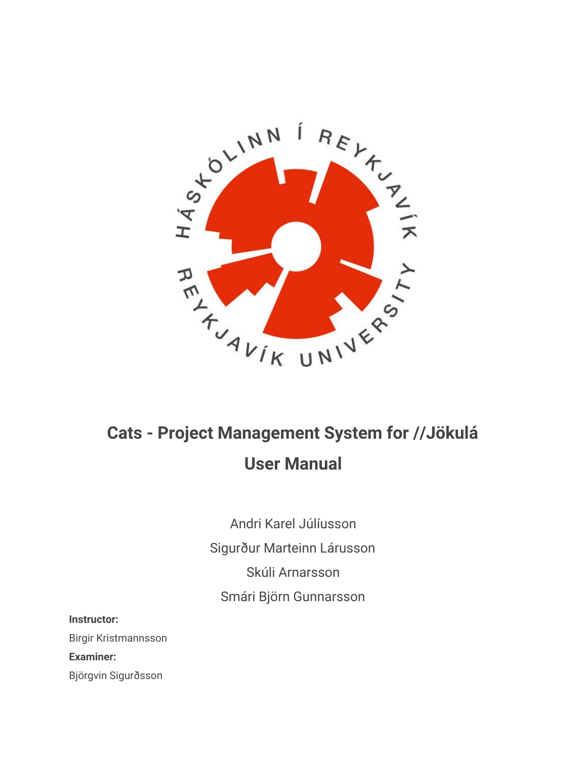

## **Cats - Project Management System for //Jökulá User Manual**

Andri Karel Júlíusson Sigurður Marteinn Lárusson Skúli Arnarsson Smári Björn Gunnarsson

**Instructor:**

Birgir Kristmannsson

**Examiner:**

Björgvin Sigurðsson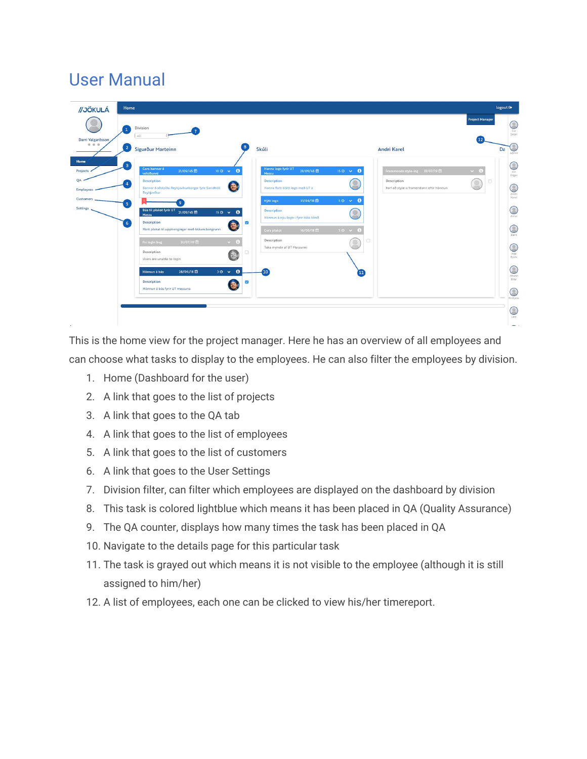## User Manual

| //JÖKULÁ                                                                                                                                    | Home                                                                                                                                                                                                                                                                                                                                                                                                                           |                                                                                                                                                                                                                                                                                                                                                                                                                  |                                                                                                                                                                          | logout <sup>(*</sup>                                                                                                                                                              |
|---------------------------------------------------------------------------------------------------------------------------------------------|--------------------------------------------------------------------------------------------------------------------------------------------------------------------------------------------------------------------------------------------------------------------------------------------------------------------------------------------------------------------------------------------------------------------------------|------------------------------------------------------------------------------------------------------------------------------------------------------------------------------------------------------------------------------------------------------------------------------------------------------------------------------------------------------------------------------------------------------------------|--------------------------------------------------------------------------------------------------------------------------------------------------------------------------|-----------------------------------------------------------------------------------------------------------------------------------------------------------------------------------|
| $\mathbf 1$<br>Darri Valgarõsson<br>0 0 0<br>$\overline{2}$                                                                                 | Division<br>All<br>Sigurður Marteinn                                                                                                                                                                                                                                                                                                                                                                                           | 8<br>Skúli                                                                                                                                                                                                                                                                                                                                                                                                       | <b>Andri Karel</b>                                                                                                                                                       | <b>Project Manager</b><br>O<br>Ívar<br>Smári<br>12<br>Da                                                                                                                          |
| Home<br>$\overline{\mathbf{3}}$<br>Projects .<br>QA<br><b>Employees</b><br>Customers<br>5 <sub>5</sub><br><b>Settings</b><br>6 <sup>°</sup> | Gera banner á<br>21/09/45<br>vefsíðunni<br><b>Description</b><br>Banner á aðalsíðu Reykjavíkurborgar fyrir Sundhöll<br>Reykjavíkur<br>9<br>Búa til plakat fyrir UT 21/09/45<br>Messu<br><b>Description</b><br>Flott plakat til upphengingar með bláum bakgrunn<br>31/07/19 章<br>Fix login bug<br>Description<br>Users are unable to login<br>Hönnun á bás<br>28/09/18 皿<br><b>Description</b><br>Hönnun á bás fyrir UT messuna | Hanna logo fyrir UT<br>$100 \times 0$<br>21/09/45<br>Messu<br>Description<br>Hanna flott blátt logo með UT á<br>31/08/18 自<br>Nýtt logo<br><b>Description</b><br>$150 \times 0$<br>Hönnun á nýu logo-i fyrir bláa lónið<br>$\overline{\mathbf{v}}$<br>Э<br>Gera plakat<br>16/05/18<br>Description<br>$\sim$ 0<br>Taka myndir af UT Messunni<br>G<br>$30 \times 0$<br>10 <sup>°</sup><br>$\overline{\mathcal{S}}$ | $150 \times 0$<br>Frammenda style-ing 31/07/19<br>Description<br>Þarf að style-a framendann eftir hönnun<br>$50 \times$<br>$\bullet$<br>$50 \times 6$<br>$\overline{11}$ | Admin<br>C<br>$\vee$ 6<br>Jon<br>Edgar<br>C<br>Andri<br>Karel<br>$\mathbb C$<br>Arnar<br>$\bigcirc$<br>C<br>Inga<br>Björk<br>C<br>Jóhann<br>Úlfar<br>C<br>Kristjana<br>$\bigcirc$ |

This is the home view for the project manager. Here he has an overview of all employees and can choose what tasks to display to the employees. He can also filter the employees by division.

- 1. Home (Dashboard for the user)
- 2. A link that goes to the list of projects
- 3. A link that goes to the QA tab
- 4. A link that goes to the list of employees
- 5. A link that goes to the list of customers
- 6. A link that goes to the User Settings
- 7. Division filter, can filter which employees are displayed on the dashboard by division
- 8. This task is colored lightblue which means it has been placed in QA (Quality Assurance)
- 9. The QA counter, displays how many times the task has been placed in QA
- 10. Navigate to the details page for this particular task
- 11. The task is grayed out which means it is not visible to the employee (although it is still assigned to him/her)
- 12. A list of employees, each one can be clicked to view his/her timereport.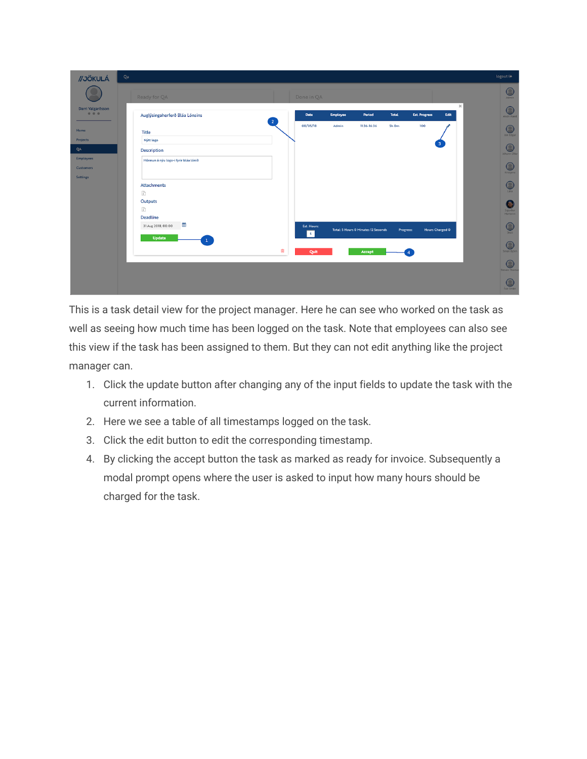| //JÖKULÁ                     | Qa                                                                                                                                                                  | logout <sup>®</sup>                   |
|------------------------------|---------------------------------------------------------------------------------------------------------------------------------------------------------------------|---------------------------------------|
|                              | Ready for QA<br>Done in QA                                                                                                                                          | $\bigcirc$<br>Admin                   |
| Darri Valgarõsson<br>0.0.0   | $\mathcal{H}$<br><b>Est. Progress</b><br>Auglýsingaherferð Bláa Lónsins<br><b>Employee</b><br>Period<br>Edit<br>Date<br><b>Total</b><br>$\overline{2}$              | $\bigcirc$<br>Andri Karel             |
| Home<br>Projects             | 08/05/18<br>Admin<br>5h Om<br>100<br>11:36-16:36<br><b>Title</b><br>Nýtt logo                                                                                       | O<br>Jon Edgar                        |
| QA<br>Employees              | 3<br><b>Description</b>                                                                                                                                             | C<br>Jóhann Úlfar                     |
| <b>Customers</b><br>Settings | Hönnun á nýu logo-i fyrir bláa lónið                                                                                                                                | C<br>Kristjana                        |
|                              | <b>Attachments</b><br>$\frac{1}{\delta}$                                                                                                                            | O<br>Lára                             |
|                              | Outputs<br>$\sigma_{\rm d}$                                                                                                                                         | Θ<br>Sigurður<br>Marteinn             |
|                              | <b>Deadline</b><br>曲<br>31 Aug 2018, 00:00<br><b>Est. Hours:</b><br>Total: 5 Hours 0 Minutes 12 Seconds<br><b>Hours Charged 0</b><br>Progress:<br>$\vert$ s $\vert$ | $\textcolor{blue}{\bigcirc}$<br>Skúli |
|                              | <b>Update</b><br>$\mathbf{1}$<br>û<br>Quit<br>Accept                                                                                                                | Q<br>Smári Björn                      |
|                              |                                                                                                                                                                     | O<br><b>Steven Thoma</b>              |
|                              |                                                                                                                                                                     | Q<br>Ívar Smári                       |

This is a task detail view for the project manager. Here he can see who worked on the task as well as seeing how much time has been logged on the task. Note that employees can also see this view if the task has been assigned to them. But they can not edit anything like the project manager can.

- 1. Click the update button after changing any of the input fields to update the task with the current information.
- 2. Here we see a table of all timestamps logged on the task.
- 3. Click the edit button to edit the corresponding timestamp.
- 4. By clicking the accept button the task as marked as ready for invoice. Subsequently a modal prompt opens where the user is asked to input how many hours should be charged for the task.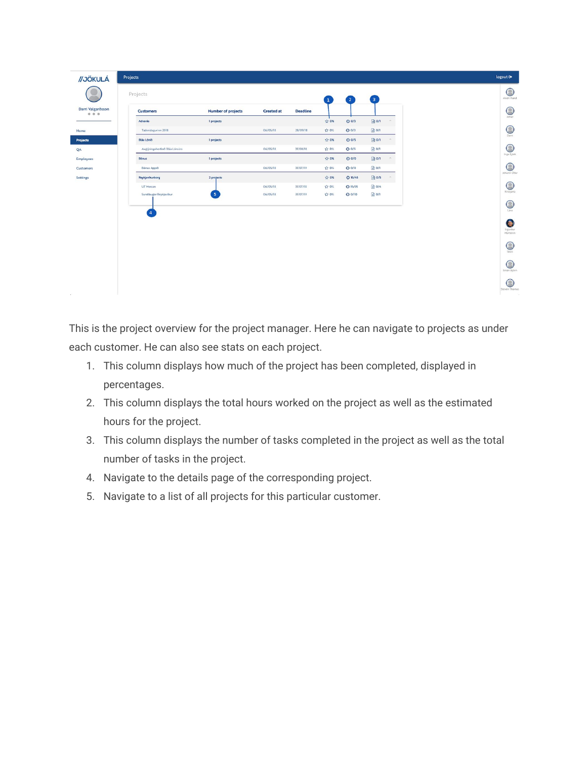| Projects                                   |                                   |                      |                      | $\mathbf{1}$ | $\begin{pmatrix} 2 \end{pmatrix}$ | $\overline{\mathbf{3}}$  |  |
|--------------------------------------------|-----------------------------------|----------------------|----------------------|--------------|-----------------------------------|--------------------------|--|
| <b>Customers</b>                           | <b>Number of projects</b>         | <b>Created at</b>    | <b>Deadline</b>      |              |                                   |                          |  |
| Advania                                    | 1 projects                        |                      |                      | ☆ 0%         | $Q$ 0/3                           | ■ 0/1<br>$\mathcal{A}_1$ |  |
| Tæknidagurinn 2018                         |                                   | 06/05/18             | 28/09/18             | ☆ 0%         | $Q$ 0/3                           | ■ 0/1                    |  |
| Bláa Lónið                                 | I projects                        |                      |                      | ☆ 0%         | $Q$ 0/5                           | ■ 0/1<br>$\sim$          |  |
| Auglýsingaherferð Bláa Lónsins             |                                   | 06/05/18             | 31/08/18             | ☆ 0%         | $Q$ 0/5                           | ■ 0/1                    |  |
| <b>Bónus</b>                               | 1 projects                        |                      |                      | ☆ 0%         | $O$ 0/0                           | ■ 0/1<br>$\sim$          |  |
| Bónus Appið                                |                                   | 06/05/18             | 31/07/19             | ☆ 0%         | $O$ 0/0                           | ■ 0/1                    |  |
| Reykjavíkurborg                            | 2 projects                        |                      |                      | ☆ 0%         | O 15/45                           | ■ 0/5                    |  |
| <b>UT Messan</b><br>Sundlaugar Reykjavíkur | $\begin{bmatrix} 5 \end{bmatrix}$ | 06/05/18<br>06/05/18 | 31/07/18<br>31/07/19 | ☆ 0%<br>☆ 0% | $Q$ 15/35<br>00/10                | ■ 0/4<br>■ 0/1           |  |
| $\left( 4 \right)$                         |                                   |                      |                      |              |                                   |                          |  |

This is the project overview for the project manager. Here he can navigate to projects as under each customer. He can also see stats on each project.

- 1. This column displays how much of the project has been completed, displayed in percentages.
- 2. This column displays the total hours worked on the project as well as the estimated hours for the project.
- 3. This column displays the number of tasks completed in the project as well as the total number of tasks in the project.
- 4. Navigate to the details page of the corresponding project.
- 5. Navigate to a list of all projects for this particular customer.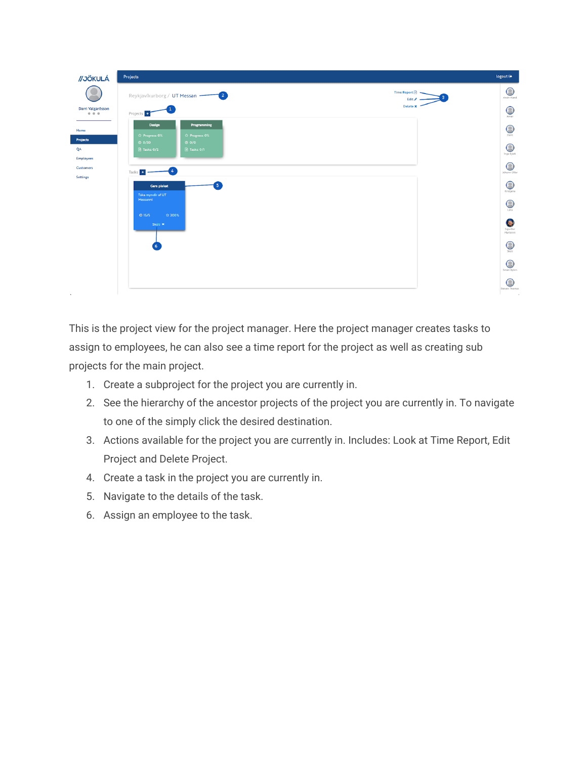| //JÖKULÁ                                                                      | Projects                                                                         | logout <sup>®</sup>                                       |
|-------------------------------------------------------------------------------|----------------------------------------------------------------------------------|-----------------------------------------------------------|
|                                                                               | $\mathbf{2}$<br>Reykjavíkurborg / UT Messan -                                    | $\bigcirc$<br>Time Report 國<br>Andri Karel<br>R<br>Edit & |
| Darri Valgarõsson<br>$\begin{array}{ccccccccccccc} 0 & 0 & 0 & 0 \end{array}$ | Projects <sup>+</sup>                                                            | Delete <b>x</b><br>$\odot$<br>Arnar                       |
| Home<br>Projects                                                              | Design<br>Programming<br>☆ Progress: 0%<br>☆ Progress: 0%<br>O O / 30<br>$Q_0/0$ | $\odot$<br>Darri                                          |
| QA                                                                            | $\boxed{a}$ Tasks: 0/2<br>$\Box$ Tasks: $0/1$                                    | $\circledcirc$<br>Inga Björk                              |
| <b>Employees</b><br>Customers<br>Settings                                     | Tasks +                                                                          | $\mathbb C$<br>Jóhann Úlfar                               |
|                                                                               | 5<br>Gera plakat<br>Taka myndir af UT                                            | C<br>Kristjana                                            |
|                                                                               | Messunni                                                                         | $\mathbb{C}$<br>Lára                                      |
|                                                                               | O(15/5)<br>☆ 300%<br>Skáli ×                                                     | e.<br>Sigurður<br>Marteinn                                |
|                                                                               | 6                                                                                | $\bigcirc$<br>Skúli                                       |
|                                                                               |                                                                                  | $\bigcirc$<br>Smári Björn                                 |
|                                                                               |                                                                                  | C<br>Steven Thomas                                        |
| $\mathbf{r}_\mathrm{c}$                                                       |                                                                                  | J.                                                        |

This is the project view for the project manager. Here the project manager creates tasks to assign to employees, he can also see a time report for the project as well as creating sub projects for the main project.

- 1. Create a subproject for the project you are currently in.
- 2. See the hierarchy of the ancestor projects of the project you are currently in. To navigate to one of the simply click the desired destination.
- 3. Actions available for the project you are currently in. Includes: Look at Time Report, Edit Project and Delete Project.
- 4. Create a task in the project you are currently in.
- 5. Navigate to the details of the task.
- 6. Assign an employee to the task.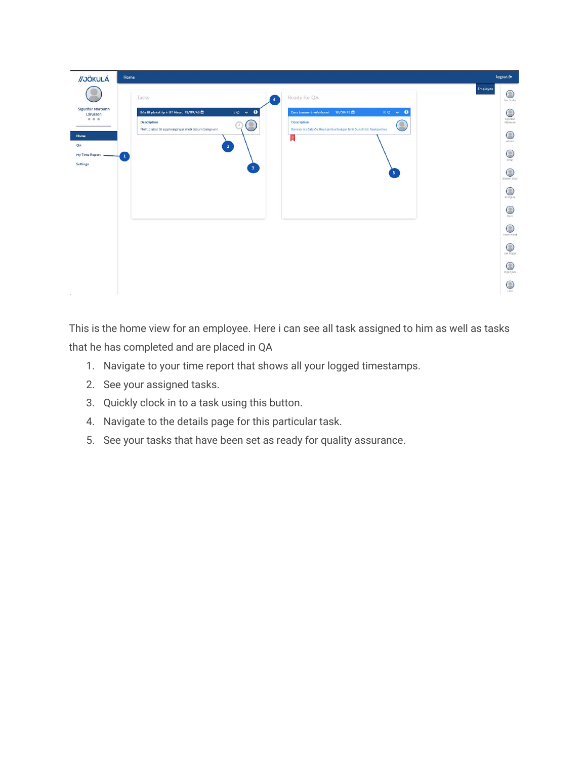| //JÖKULÁ                                       | Home                                                                                                                             |                                                                                                                                             | logout <sup>(*</sup>                    |
|------------------------------------------------|----------------------------------------------------------------------------------------------------------------------------------|---------------------------------------------------------------------------------------------------------------------------------------------|-----------------------------------------|
|                                                | Tasks<br>$\overline{4}$                                                                                                          | Ready for QA                                                                                                                                | Employee<br>$\bigcirc$<br>Ívar Smári    |
| Sigurður Marteinn<br>Lárusson<br>0.0.0<br>Home | $150 \times 0$<br>Búa til plakat fyrir UT Messu 18/09/45<br>Description<br>۰<br>Flott plakat til upphengingar með bláum bakgrunn | $100 \times 0$<br>Gera banner á vefsíðunni 18/09/45<br><b>Description</b><br>Banner á aðalsíðu Reykjavíkurborgar fyrir Sundhöll Reykjavíkur | C<br>Sigurður<br>Marteinn<br>$\bigcirc$ |
| QA<br>My Time Report<br>Settings               | $\mathbf{2}^-$<br>$\mathbf{1}$<br>$\vert 3 \rangle$                                                                              | м                                                                                                                                           | Admin<br>$\odot$<br>Arnar               |
|                                                |                                                                                                                                  | 5 <sup>2</sup>                                                                                                                              | $\odot$<br>Jóhann Úlfar                 |
|                                                |                                                                                                                                  |                                                                                                                                             | $\bigcirc$<br>Kristjana                 |
|                                                |                                                                                                                                  |                                                                                                                                             | $\bigcirc$<br>Darri                     |
|                                                |                                                                                                                                  |                                                                                                                                             | $\odot$<br>Andri Karel                  |
|                                                |                                                                                                                                  |                                                                                                                                             | $\bigcirc$<br>Jon Edgar                 |
|                                                |                                                                                                                                  |                                                                                                                                             | $\bigcirc$<br>Inga Björk                |
|                                                |                                                                                                                                  |                                                                                                                                             | $\bigcirc$<br>Lára                      |

This is the home view for an employee. Here i can see all task assigned to him as well as tasks that he has completed and are placed in QA

- 1. Navigate to your time report that shows all your logged timestamps.
- 2. See your assigned tasks.
- 3. Quickly clock in to a task using this button.
- 4. Navigate to the details page for this particular task.
- 5. See your tasks that have been set as ready for quality assurance.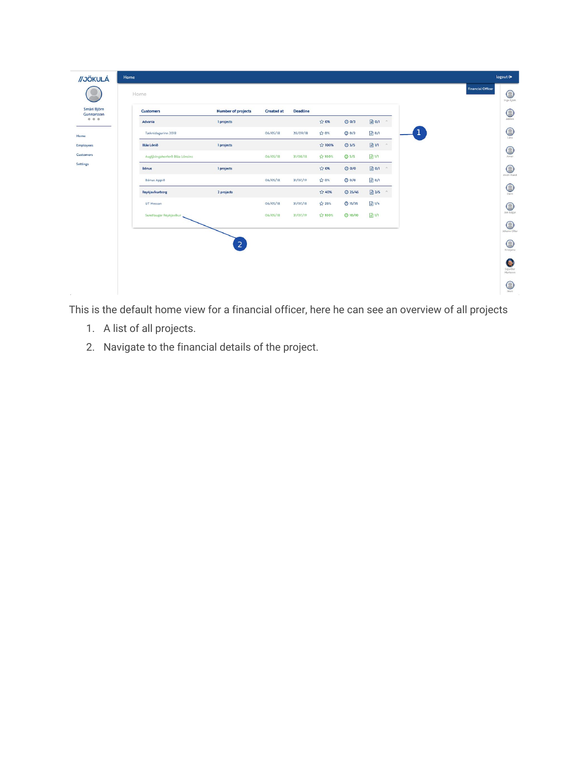| //JÖKULÁ                  | Home                           |                           |                   |                 |        |                |            |               |             |                          | logout <sup>(*</sup>      |
|---------------------------|--------------------------------|---------------------------|-------------------|-----------------|--------|----------------|------------|---------------|-------------|--------------------------|---------------------------|
|                           | Home                           |                           |                   |                 |        |                |            |               |             | <b>Financial Officer</b> | $\bigcirc$<br>Inga Bjork  |
| Smári Björn<br>Gunnarsson | <b>Customers</b>               | <b>Number of projects</b> | <b>Created at</b> | <b>Deadline</b> |        |                |            |               |             |                          | $\mathbb C$               |
| 0 0 0                     | Advania                        | 1 projects                |                   |                 | ☆ 0%   | $Q$ 0/3        | $\Box$ o/i | $\lambda$     |             |                          | Admin                     |
| Home                      | Tæknidagurinn 2018             |                           | 06/05/18          | 28/09/18        | ☆ 0%   | $Q$ 0/3        | ■ 0/1      |               | $\mathbf 1$ |                          | $\bigcirc$<br>Lára        |
| <b>Employees</b>          | <b>Bláa Lónið</b>              | 1 projects                |                   |                 | ☆ 100% | $Q$ 5/5        | ■1/1       | $\mathcal{M}$ |             |                          | $\bigcirc$                |
| Customers                 | Auglýsingaherferð Bláa Lónsins |                           | 06/05/18          | 31/08/18        | ☆ 100% | <b>© 5/5</b>   | ■1/1       |               |             |                          | Arnar                     |
| Settings                  | <b>Bónus</b>                   | 1 projects                |                   |                 | ☆ 0%   | $Q$ 0/0        | $\Box$ O/I | $\wedge$      |             |                          | $\bigcirc$<br>Andri Karel |
|                           | Bónus Appið                    |                           | 06/05/18          | 31/07/19        | ☆ 0%   | $O$ 0/0        | ■ 0/1      |               |             |                          |                           |
|                           | Reykjavíkurborg                | 2 projects                |                   |                 | ☆ 40%  | <b>@ 25/45</b> | ■2/5 ^     |               |             |                          | $\bigcirc$<br>Darri       |
|                           | <b>UT Messan</b>               |                           | 06/05/18          | 31/07/18        | ☆ 25%  | $Q$ 15/35      | ■1/4       |               |             |                          | $\bigcirc$                |
|                           | Sundlaugar Reykjavíkur         |                           | 06/05/18          | 31/07/19        | ☆ 100% | Q10/10         | ■1/1       |               |             |                          | Jon Edgar                 |
|                           |                                |                           |                   |                 |        |                |            |               |             |                          | $\odot$<br>Jóhann Úlfar   |
|                           |                                | $\vert$ 2                 |                   |                 |        |                |            |               |             |                          | $\bigcirc$                |
|                           |                                |                           |                   |                 |        |                |            |               |             |                          | Kristjana                 |
|                           |                                |                           |                   |                 |        |                |            |               |             |                          | e<br>Sigurður<br>Marteinn |
|                           |                                |                           |                   |                 |        |                |            |               |             |                          | $\bigcirc$<br>Skúli       |

This is the default home view for a financial officer, here he can see an overview of all projects

- 1. A list of all projects.
- 2. Navigate to the financial details of the project.